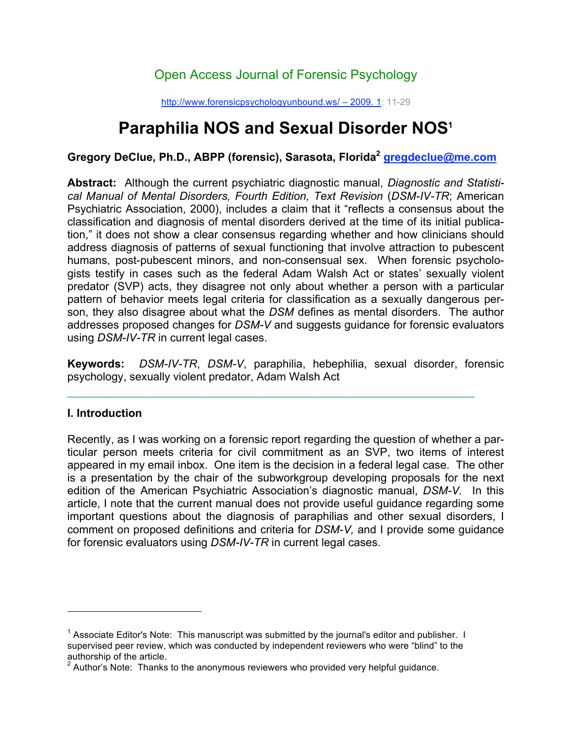## Open Access Journal of Forensic Psychology

http://www.forensicpsychologyunbound.ws/ – 2009. 1: 11-29

# **Paraphilia NOS and Sexual Disorder NOS1**

**Gregory DeClue, Ph.D., ABPP (forensic), Sarasota, Florida2 gregdeclue@me.com**

**Abstract:** Although the current psychiatric diagnostic manual, *Diagnostic and Statistical Manual of Mental Disorders, Fourth Edition, Text Revision* (*DSM-IV-TR*; American Psychiatric Association, 2000), includes a claim that it "reflects a consensus about the classification and diagnosis of mental disorders derived at the time of its initial publication," it does not show a clear consensus regarding whether and how clinicians should address diagnosis of patterns of sexual functioning that involve attraction to pubescent humans, post-pubescent minors, and non-consensual sex. When forensic psychologists testify in cases such as the federal Adam Walsh Act or states' sexually violent predator (SVP) acts, they disagree not only about whether a person with a particular pattern of behavior meets legal criteria for classification as a sexually dangerous person, they also disagree about what the *DSM* defines as mental disorders. The author addresses proposed changes for *DSM-V* and suggests guidance for forensic evaluators using *DSM-IV-TR* in current legal cases.

**Keywords:** *DSM-IV-TR*, *DSM-V*, paraphilia, hebephilia, sexual disorder, forensic psychology, sexually violent predator, Adam Walsh Act

#### **¯¯¯¯¯¯¯¯¯¯¯¯¯¯¯¯¯¯¯¯¯¯¯¯¯¯¯¯¯¯¯¯¯¯¯¯¯¯¯¯¯¯¯¯¯¯¯¯¯¯¯¯¯¯¯¯¯¯¯¯¯¯¯¯¯¯¯¯¯¯¯¯¯¯¯¯¯¯¯ I. Introduction**

 $\overline{a}$ 

Recently, as I was working on a forensic report regarding the question of whether a particular person meets criteria for civil commitment as an SVP, two items of interest appeared in my email inbox. One item is the decision in a federal legal case. The other is a presentation by the chair of the subworkgroup developing proposals for the next edition of the American Psychiatric Association's diagnostic manual, *DSM-V.* In this article, I note that the current manual does not provide useful guidance regarding some important questions about the diagnosis of paraphilias and other sexual disorders, I comment on proposed definitions and criteria for *DSM-V,* and I provide some guidance for forensic evaluators using *DSM-IV-TR* in current legal cases.

<sup>&</sup>lt;sup>1</sup> Associate Editor's Note: This manuscript was submitted by the journal's editor and publisher. I supervised peer review, which was conducted by independent reviewers who were "blind" to the authorship of the article.<br><sup>2</sup> Author's Nate: Thanks

Author's Note: Thanks to the anonymous reviewers who provided very helpful guidance.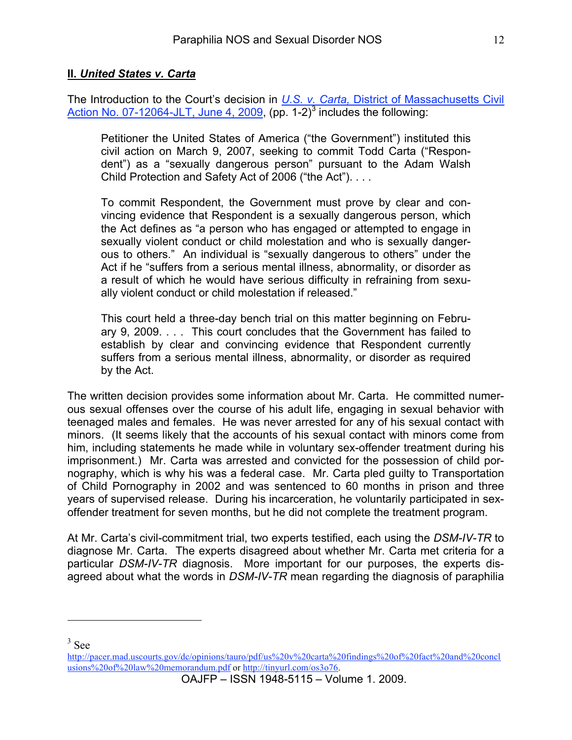#### **II.** *United States v. Carta*

The Introduction to the Court's decision in *U.S. v. Carta,* District of Massachusetts Civil Action No. 07-12064-JLT, June 4, 2009, (pp. 1-2) $^3$  includes the following:

Petitioner the United States of America ("the Government") instituted this civil action on March 9, 2007, seeking to commit Todd Carta ("Respondent") as a "sexually dangerous person" pursuant to the Adam Walsh Child Protection and Safety Act of 2006 ("the Act"). . . .

To commit Respondent, the Government must prove by clear and convincing evidence that Respondent is a sexually dangerous person, which the Act defines as "a person who has engaged or attempted to engage in sexually violent conduct or child molestation and who is sexually dangerous to others." An individual is "sexually dangerous to others" under the Act if he "suffers from a serious mental illness, abnormality, or disorder as a result of which he would have serious difficulty in refraining from sexually violent conduct or child molestation if released."

This court held a three-day bench trial on this matter beginning on February 9, 2009. . . . This court concludes that the Government has failed to establish by clear and convincing evidence that Respondent currently suffers from a serious mental illness, abnormality, or disorder as required by the Act.

The written decision provides some information about Mr. Carta. He committed numerous sexual offenses over the course of his adult life, engaging in sexual behavior with teenaged males and females. He was never arrested for any of his sexual contact with minors. (It seems likely that the accounts of his sexual contact with minors come from him, including statements he made while in voluntary sex-offender treatment during his imprisonment.) Mr. Carta was arrested and convicted for the possession of child pornography, which is why his was a federal case. Mr. Carta pled guilty to Transportation of Child Pornography in 2002 and was sentenced to 60 months in prison and three years of supervised release. During his incarceration, he voluntarily participated in sexoffender treatment for seven months, but he did not complete the treatment program.

At Mr. Carta's civil-commitment trial, two experts testified, each using the *DSM-IV-TR* to diagnose Mr. Carta. The experts disagreed about whether Mr. Carta met criteria for a particular *DSM-IV-TR* diagnosis. More important for our purposes, the experts disagreed about what the words in *DSM-IV-TR* mean regarding the diagnosis of paraphilia

3 See

 $\overline{a}$ 

http://pacer.mad.uscourts.gov/dc/opinions/tauro/pdf/us%20v%20carta%20findings%20of%20fact%20and%20concl usions%20of%20law%20memorandum.pdf or http://tinyurl.com/os3o76.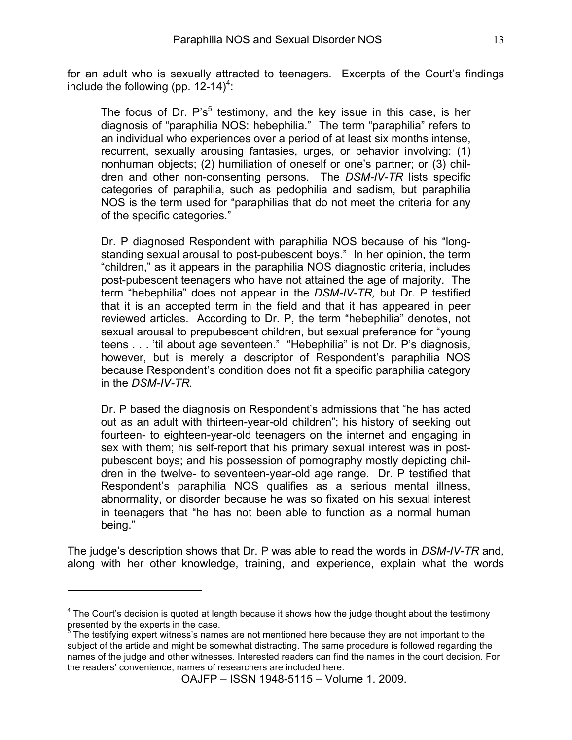for an adult who is sexually attracted to teenagers. Excerpts of the Court's findings include the following (pp.  $12-14)^4$ :

The focus of Dr.  $P's<sup>5</sup>$  testimony, and the key issue in this case, is her diagnosis of "paraphilia NOS: hebephilia." The term "paraphilia" refers to an individual who experiences over a period of at least six months intense, recurrent, sexually arousing fantasies, urges, or behavior involving: (1) nonhuman objects; (2) humiliation of oneself or one's partner; or (3) children and other non-consenting persons. The *DSM-IV-TR* lists specific categories of paraphilia, such as pedophilia and sadism, but paraphilia NOS is the term used for "paraphilias that do not meet the criteria for any of the specific categories."

Dr. P diagnosed Respondent with paraphilia NOS because of his "longstanding sexual arousal to post-pubescent boys." In her opinion, the term "children," as it appears in the paraphilia NOS diagnostic criteria, includes post-pubescent teenagers who have not attained the age of majority. The term "hebephilia" does not appear in the *DSM-IV-TR,* but Dr. P testified that it is an accepted term in the field and that it has appeared in peer reviewed articles. According to Dr. P, the term "hebephilia" denotes, not sexual arousal to prepubescent children, but sexual preference for "young teens . . . 'til about age seventeen." "Hebephilia" is not Dr. P's diagnosis, however, but is merely a descriptor of Respondent's paraphilia NOS because Respondent's condition does not fit a specific paraphilia category in the *DSM-IV-TR.*

Dr. P based the diagnosis on Respondent's admissions that "he has acted out as an adult with thirteen-year-old children"; his history of seeking out fourteen- to eighteen-year-old teenagers on the internet and engaging in sex with them; his self-report that his primary sexual interest was in postpubescent boys; and his possession of pornography mostly depicting children in the twelve- to seventeen-year-old age range. Dr. P testified that Respondent's paraphilia NOS qualifies as a serious mental illness, abnormality, or disorder because he was so fixated on his sexual interest in teenagers that "he has not been able to function as a normal human being."

The judge's description shows that Dr. P was able to read the words in *DSM-IV-TR* and, along with her other knowledge, training, and experience, explain what the words

 $\overline{a}$ 

 $4$  The Court's decision is quoted at length because it shows how the judge thought about the testimony presented by the experts in the case.<br><sup>5</sup> The testifying expert witness's name

The testifying expert witness's names are not mentioned here because they are not important to the subject of the article and might be somewhat distracting. The same procedure is followed regarding the names of the judge and other witnesses. Interested readers can find the names in the court decision. For the readers' convenience, names of researchers are included here.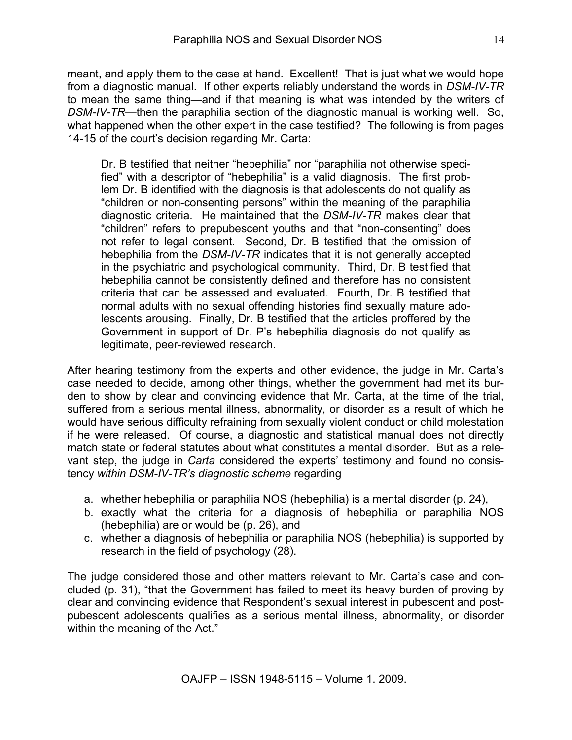meant, and apply them to the case at hand. Excellent! That is just what we would hope from a diagnostic manual. If other experts reliably understand the words in *DSM-IV-TR* to mean the same thing—and if that meaning is what was intended by the writers of *DSM-IV-TR*—then the paraphilia section of the diagnostic manual is working well. So, what happened when the other expert in the case testified? The following is from pages 14-15 of the court's decision regarding Mr. Carta:

Dr. B testified that neither "hebephilia" nor "paraphilia not otherwise specified" with a descriptor of "hebephilia" is a valid diagnosis. The first problem Dr. B identified with the diagnosis is that adolescents do not qualify as "children or non-consenting persons" within the meaning of the paraphilia diagnostic criteria. He maintained that the *DSM-IV-TR* makes clear that "children" refers to prepubescent youths and that "non-consenting" does not refer to legal consent. Second, Dr. B testified that the omission of hebephilia from the *DSM-IV-TR* indicates that it is not generally accepted in the psychiatric and psychological community. Third, Dr. B testified that hebephilia cannot be consistently defined and therefore has no consistent criteria that can be assessed and evaluated. Fourth, Dr. B testified that normal adults with no sexual offending histories find sexually mature adolescents arousing. Finally, Dr. B testified that the articles proffered by the Government in support of Dr. P's hebephilia diagnosis do not qualify as legitimate, peer-reviewed research.

After hearing testimony from the experts and other evidence, the judge in Mr. Carta's case needed to decide, among other things, whether the government had met its burden to show by clear and convincing evidence that Mr. Carta, at the time of the trial, suffered from a serious mental illness, abnormality, or disorder as a result of which he would have serious difficulty refraining from sexually violent conduct or child molestation if he were released. Of course, a diagnostic and statistical manual does not directly match state or federal statutes about what constitutes a mental disorder. But as a relevant step, the judge in *Carta* considered the experts' testimony and found no consistency *within DSM-IV-TR's diagnostic scheme* regarding

- a. whether hebephilia or paraphilia NOS (hebephilia) is a mental disorder (p. 24),
- b. exactly what the criteria for a diagnosis of hebephilia or paraphilia NOS (hebephilia) are or would be (p. 26), and
- c. whether a diagnosis of hebephilia or paraphilia NOS (hebephilia) is supported by research in the field of psychology (28).

The judge considered those and other matters relevant to Mr. Carta's case and concluded (p. 31), "that the Government has failed to meet its heavy burden of proving by clear and convincing evidence that Respondent's sexual interest in pubescent and postpubescent adolescents qualifies as a serious mental illness, abnormality, or disorder within the meaning of the Act."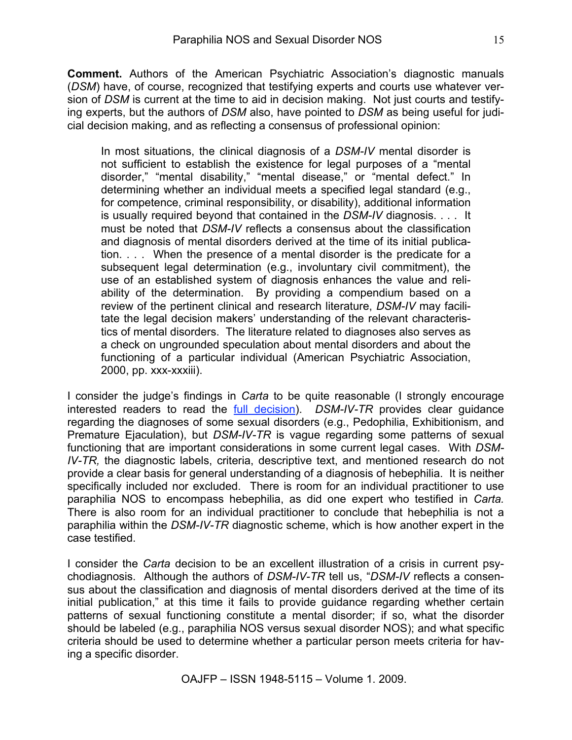**Comment.** Authors of the American Psychiatric Association's diagnostic manuals (*DSM*) have, of course, recognized that testifying experts and courts use whatever version of *DSM* is current at the time to aid in decision making. Not just courts and testifying experts, but the authors of *DSM* also, have pointed to *DSM* as being useful for judicial decision making, and as reflecting a consensus of professional opinion:

In most situations, the clinical diagnosis of a *DSM-IV* mental disorder is not sufficient to establish the existence for legal purposes of a "mental disorder," "mental disability," "mental disease," or "mental defect." In determining whether an individual meets a specified legal standard (e.g., for competence, criminal responsibility, or disability), additional information is usually required beyond that contained in the *DSM-IV* diagnosis. . . . It must be noted that *DSM-IV* reflects a consensus about the classification and diagnosis of mental disorders derived at the time of its initial publication. . . . When the presence of a mental disorder is the predicate for a subsequent legal determination (e.g., involuntary civil commitment), the use of an established system of diagnosis enhances the value and reliability of the determination. By providing a compendium based on a review of the pertinent clinical and research literature, *DSM-IV* may facilitate the legal decision makers' understanding of the relevant characteristics of mental disorders. The literature related to diagnoses also serves as a check on ungrounded speculation about mental disorders and about the functioning of a particular individual (American Psychiatric Association, 2000, pp. xxx-xxxiii).

I consider the judge's findings in *Carta* to be quite reasonable (I strongly encourage interested readers to read the full decision). *DSM-IV-TR* provides clear guidance regarding the diagnoses of some sexual disorders (e.g., Pedophilia, Exhibitionism, and Premature Ejaculation), but *DSM-IV-TR* is vague regarding some patterns of sexual functioning that are important considerations in some current legal cases. With *DSM-IV-TR,* the diagnostic labels, criteria, descriptive text, and mentioned research do not provide a clear basis for general understanding of a diagnosis of hebephilia. It is neither specifically included nor excluded. There is room for an individual practitioner to use paraphilia NOS to encompass hebephilia, as did one expert who testified in *Carta.* There is also room for an individual practitioner to conclude that hebephilia is not a paraphilia within the *DSM-IV-TR* diagnostic scheme, which is how another expert in the case testified.

I consider the *Carta* decision to be an excellent illustration of a crisis in current psychodiagnosis. Although the authors of *DSM-IV-TR* tell us, "*DSM-IV* reflects a consensus about the classification and diagnosis of mental disorders derived at the time of its initial publication," at this time it fails to provide guidance regarding whether certain patterns of sexual functioning constitute a mental disorder; if so, what the disorder should be labeled (e.g., paraphilia NOS versus sexual disorder NOS); and what specific criteria should be used to determine whether a particular person meets criteria for having a specific disorder.

OAJFP – ISSN 1948-5115 – Volume 1. 2009.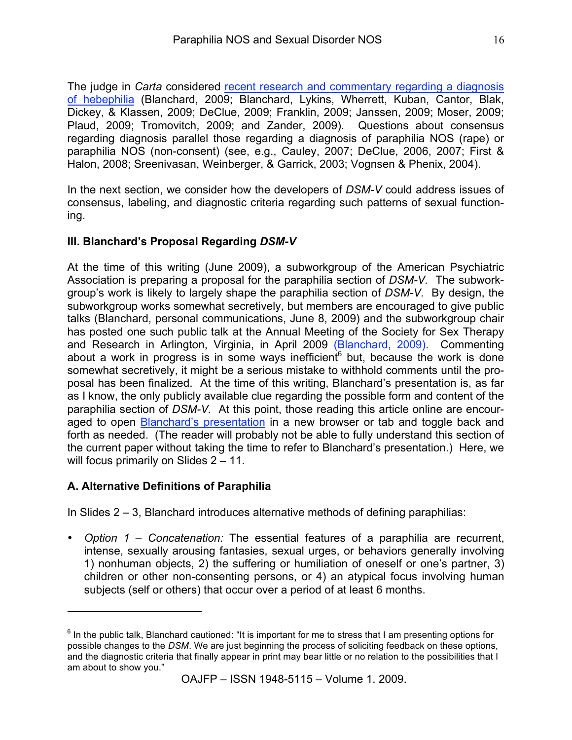The judge in *Carta* considered recent research and commentary regarding a diagnosis of hebephilia (Blanchard, 2009; Blanchard, Lykins, Wherrett, Kuban, Cantor, Blak, Dickey, & Klassen, 2009; DeClue, 2009; Franklin, 2009; Janssen, 2009; Moser, 2009; Plaud, 2009; Tromovitch, 2009; and Zander, 2009). Questions about consensus regarding diagnosis parallel those regarding a diagnosis of paraphilia NOS (rape) or paraphilia NOS (non-consent) (see, e.g., Cauley, 2007; DeClue, 2006, 2007; First & Halon, 2008; Sreenivasan, Weinberger, & Garrick, 2003; Vognsen & Phenix, 2004).

In the next section, we consider how the developers of *DSM-V* could address issues of consensus, labeling, and diagnostic criteria regarding such patterns of sexual functioning.

#### **III. Blanchard's Proposal Regarding** *DSM-V*

At the time of this writing (June 2009), a subworkgroup of the American Psychiatric Association is preparing a proposal for the paraphilia section of *DSM-V.* The subworkgroup's work is likely to largely shape the paraphilia section of *DSM-V.* By design, the subworkgroup works somewhat secretively, but members are encouraged to give public talks (Blanchard, personal communications, June 8, 2009) and the subworkgroup chair has posted one such public talk at the Annual Meeting of the Society for Sex Therapy and Research in Arlington, Virginia, in April 2009 (Blanchard, 2009). Commenting about a work in progress is in some ways inefficient but, because the work is done somewhat secretively, it might be a serious mistake to withhold comments until the proposal has been finalized. At the time of this writing, Blanchard's presentation is, as far as I know, the only publicly available clue regarding the possible form and content of the paraphilia section of *DSM-V.* At this point, those reading this article online are encouraged to open Blanchard's presentation in a new browser or tab and toggle back and forth as needed. (The reader will probably not be able to fully understand this section of the current paper without taking the time to refer to Blanchard's presentation.) Here, we will focus primarily on Slides 2 – 11.

#### **A. Alternative Definitions of Paraphilia**

 $\overline{a}$ 

In Slides 2 – 3, Blanchard introduces alternative methods of defining paraphilias:

• *Option 1 – Concatenation:* The essential features of a paraphilia are recurrent, intense, sexually arousing fantasies, sexual urges, or behaviors generally involving 1) nonhuman objects, 2) the suffering or humiliation of oneself or one's partner, 3) children or other non-consenting persons, or 4) an atypical focus involving human subjects (self or others) that occur over a period of at least 6 months.

 $<sup>6</sup>$  In the public talk, Blanchard cautioned: "It is important for me to stress that I am presenting options for</sup> possible changes to the *DSM*. We are just beginning the process of soliciting feedback on these options, and the diagnostic criteria that finally appear in print may bear little or no relation to the possibilities that I am about to show you."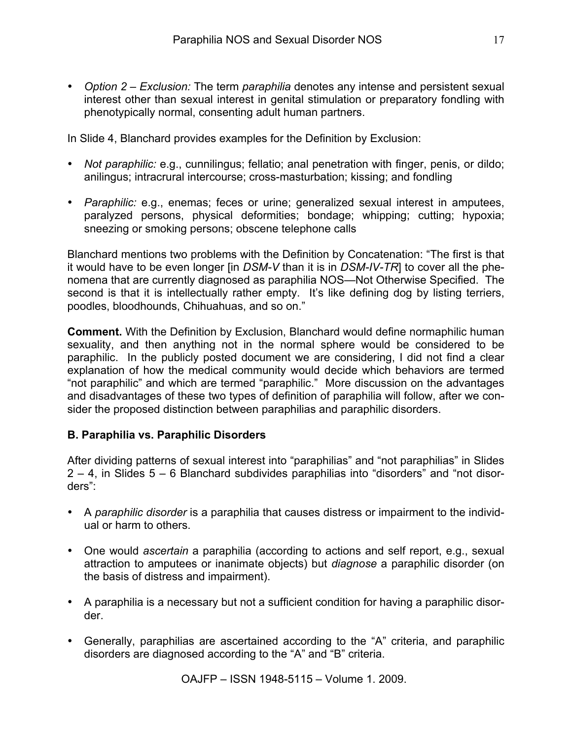• *Option 2 – Exclusion:* The term *paraphilia* denotes any intense and persistent sexual interest other than sexual interest in genital stimulation or preparatory fondling with phenotypically normal, consenting adult human partners.

In Slide 4, Blanchard provides examples for the Definition by Exclusion:

- *Not paraphilic:* e.g., cunnilingus; fellatio; anal penetration with finger, penis, or dildo; anilingus; intracrural intercourse; cross-masturbation; kissing; and fondling
- *Paraphilic:* e.g., enemas; feces or urine; generalized sexual interest in amputees, paralyzed persons, physical deformities; bondage; whipping; cutting; hypoxia; sneezing or smoking persons; obscene telephone calls

Blanchard mentions two problems with the Definition by Concatenation: "The first is that it would have to be even longer [in *DSM-V* than it is in *DSM-IV-TR*] to cover all the phenomena that are currently diagnosed as paraphilia NOS—Not Otherwise Specified. The second is that it is intellectually rather empty. It's like defining dog by listing terriers, poodles, bloodhounds, Chihuahuas, and so on."

**Comment.** With the Definition by Exclusion, Blanchard would define normaphilic human sexuality, and then anything not in the normal sphere would be considered to be paraphilic. In the publicly posted document we are considering, I did not find a clear explanation of how the medical community would decide which behaviors are termed "not paraphilic" and which are termed "paraphilic." More discussion on the advantages and disadvantages of these two types of definition of paraphilia will follow, after we consider the proposed distinction between paraphilias and paraphilic disorders.

#### **B. Paraphilia vs. Paraphilic Disorders**

After dividing patterns of sexual interest into "paraphilias" and "not paraphilias" in Slides 2 – 4, in Slides 5 – 6 Blanchard subdivides paraphilias into "disorders" and "not disorders":

- A *paraphilic disorder* is a paraphilia that causes distress or impairment to the individual or harm to others.
- One would *ascertain* a paraphilia (according to actions and self report, e.g., sexual attraction to amputees or inanimate objects) but *diagnose* a paraphilic disorder (on the basis of distress and impairment).
- A paraphilia is a necessary but not a sufficient condition for having a paraphilic disorder.
- Generally, paraphilias are ascertained according to the "A" criteria, and paraphilic disorders are diagnosed according to the "A" and "B" criteria.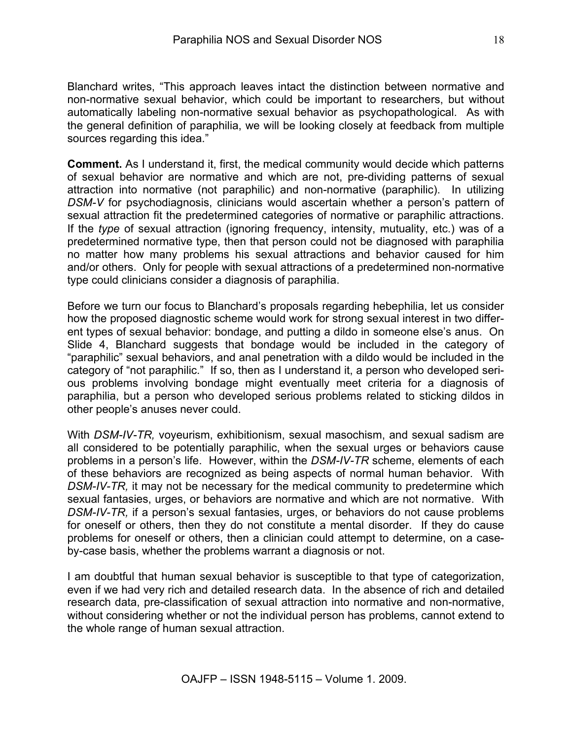Blanchard writes, "This approach leaves intact the distinction between normative and non-normative sexual behavior, which could be important to researchers, but without automatically labeling non-normative sexual behavior as psychopathological. As with the general definition of paraphilia, we will be looking closely at feedback from multiple sources regarding this idea."

**Comment.** As I understand it, first, the medical community would decide which patterns of sexual behavior are normative and which are not, pre-dividing patterns of sexual attraction into normative (not paraphilic) and non-normative (paraphilic). In utilizing *DSM-V* for psychodiagnosis, clinicians would ascertain whether a person's pattern of sexual attraction fit the predetermined categories of normative or paraphilic attractions. If the *type* of sexual attraction (ignoring frequency, intensity, mutuality, etc.) was of a predetermined normative type, then that person could not be diagnosed with paraphilia no matter how many problems his sexual attractions and behavior caused for him and/or others. Only for people with sexual attractions of a predetermined non-normative type could clinicians consider a diagnosis of paraphilia.

Before we turn our focus to Blanchard's proposals regarding hebephilia, let us consider how the proposed diagnostic scheme would work for strong sexual interest in two different types of sexual behavior: bondage, and putting a dildo in someone else's anus. On Slide 4, Blanchard suggests that bondage would be included in the category of "paraphilic" sexual behaviors, and anal penetration with a dildo would be included in the category of "not paraphilic." If so, then as I understand it, a person who developed serious problems involving bondage might eventually meet criteria for a diagnosis of paraphilia, but a person who developed serious problems related to sticking dildos in other people's anuses never could.

With *DSM-IV-TR,* voyeurism, exhibitionism, sexual masochism, and sexual sadism are all considered to be potentially paraphilic, when the sexual urges or behaviors cause problems in a person's life. However, within the *DSM-IV-TR* scheme, elements of each of these behaviors are recognized as being aspects of normal human behavior. With *DSM-IV-TR,* it may not be necessary for the medical community to predetermine which sexual fantasies, urges, or behaviors are normative and which are not normative. With *DSM-IV-TR,* if a person's sexual fantasies, urges, or behaviors do not cause problems for oneself or others, then they do not constitute a mental disorder. If they do cause problems for oneself or others, then a clinician could attempt to determine, on a caseby-case basis, whether the problems warrant a diagnosis or not.

I am doubtful that human sexual behavior is susceptible to that type of categorization, even if we had very rich and detailed research data. In the absence of rich and detailed research data, pre-classification of sexual attraction into normative and non-normative, without considering whether or not the individual person has problems, cannot extend to the whole range of human sexual attraction.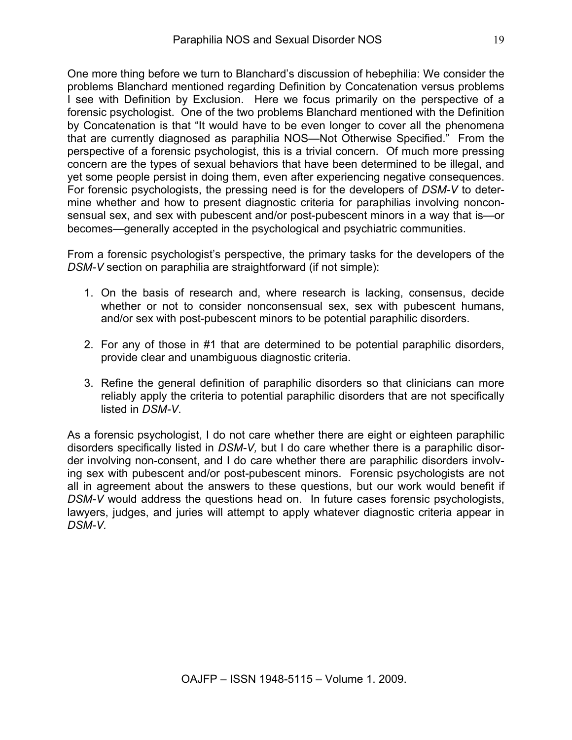One more thing before we turn to Blanchard's discussion of hebephilia: We consider the problems Blanchard mentioned regarding Definition by Concatenation versus problems I see with Definition by Exclusion. Here we focus primarily on the perspective of a forensic psychologist. One of the two problems Blanchard mentioned with the Definition by Concatenation is that "It would have to be even longer to cover all the phenomena that are currently diagnosed as paraphilia NOS—Not Otherwise Specified." From the perspective of a forensic psychologist, this is a trivial concern. Of much more pressing concern are the types of sexual behaviors that have been determined to be illegal, and yet some people persist in doing them, even after experiencing negative consequences. For forensic psychologists, the pressing need is for the developers of *DSM-V* to determine whether and how to present diagnostic criteria for paraphilias involving nonconsensual sex, and sex with pubescent and/or post-pubescent minors in a way that is—or becomes—generally accepted in the psychological and psychiatric communities.

From a forensic psychologist's perspective, the primary tasks for the developers of the *DSM-V* section on paraphilia are straightforward (if not simple):

- 1. On the basis of research and, where research is lacking, consensus, decide whether or not to consider nonconsensual sex, sex with pubescent humans, and/or sex with post-pubescent minors to be potential paraphilic disorders.
- 2. For any of those in #1 that are determined to be potential paraphilic disorders, provide clear and unambiguous diagnostic criteria.
- 3. Refine the general definition of paraphilic disorders so that clinicians can more reliably apply the criteria to potential paraphilic disorders that are not specifically listed in *DSM-V*.

As a forensic psychologist, I do not care whether there are eight or eighteen paraphilic disorders specifically listed in *DSM-V,* but I do care whether there is a paraphilic disorder involving non-consent, and I do care whether there are paraphilic disorders involving sex with pubescent and/or post-pubescent minors. Forensic psychologists are not all in agreement about the answers to these questions, but our work would benefit if *DSM-V* would address the questions head on. In future cases forensic psychologists, lawyers, judges, and juries will attempt to apply whatever diagnostic criteria appear in *DSM-V.*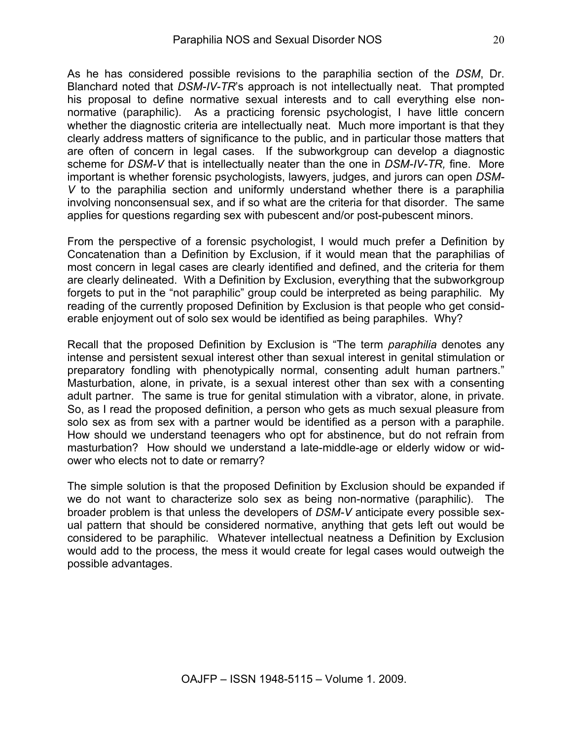As he has considered possible revisions to the paraphilia section of the *DSM*, Dr. Blanchard noted that *DSM-IV-TR*'s approach is not intellectually neat. That prompted his proposal to define normative sexual interests and to call everything else nonnormative (paraphilic). As a practicing forensic psychologist, I have little concern whether the diagnostic criteria are intellectually neat. Much more important is that they clearly address matters of significance to the public, and in particular those matters that are often of concern in legal cases. If the subworkgroup can develop a diagnostic scheme for *DSM-V* that is intellectually neater than the one in *DSM-IV-TR,* fine. More important is whether forensic psychologists, lawyers, judges, and jurors can open *DSM-V* to the paraphilia section and uniformly understand whether there is a paraphilia involving nonconsensual sex, and if so what are the criteria for that disorder. The same applies for questions regarding sex with pubescent and/or post-pubescent minors.

From the perspective of a forensic psychologist, I would much prefer a Definition by Concatenation than a Definition by Exclusion, if it would mean that the paraphilias of most concern in legal cases are clearly identified and defined, and the criteria for them are clearly delineated. With a Definition by Exclusion, everything that the subworkgroup forgets to put in the "not paraphilic" group could be interpreted as being paraphilic. My reading of the currently proposed Definition by Exclusion is that people who get considerable enjoyment out of solo sex would be identified as being paraphiles. Why?

Recall that the proposed Definition by Exclusion is "The term *paraphilia* denotes any intense and persistent sexual interest other than sexual interest in genital stimulation or preparatory fondling with phenotypically normal, consenting adult human partners." Masturbation, alone, in private, is a sexual interest other than sex with a consenting adult partner. The same is true for genital stimulation with a vibrator, alone, in private. So, as I read the proposed definition, a person who gets as much sexual pleasure from solo sex as from sex with a partner would be identified as a person with a paraphile. How should we understand teenagers who opt for abstinence, but do not refrain from masturbation? How should we understand a late-middle-age or elderly widow or widower who elects not to date or remarry?

The simple solution is that the proposed Definition by Exclusion should be expanded if we do not want to characterize solo sex as being non-normative (paraphilic). The broader problem is that unless the developers of *DSM-V* anticipate every possible sexual pattern that should be considered normative, anything that gets left out would be considered to be paraphilic. Whatever intellectual neatness a Definition by Exclusion would add to the process, the mess it would create for legal cases would outweigh the possible advantages.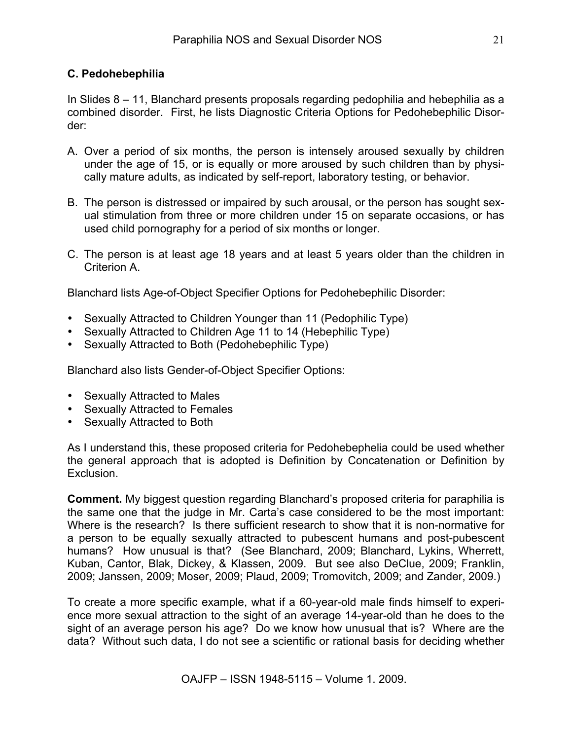#### **C. Pedohebephilia**

In Slides 8 – 11, Blanchard presents proposals regarding pedophilia and hebephilia as a combined disorder. First, he lists Diagnostic Criteria Options for Pedohebephilic Disorder:

- A. Over a period of six months, the person is intensely aroused sexually by children under the age of 15, or is equally or more aroused by such children than by physically mature adults, as indicated by self-report, laboratory testing, or behavior.
- B. The person is distressed or impaired by such arousal, or the person has sought sexual stimulation from three or more children under 15 on separate occasions, or has used child pornography for a period of six months or longer.
- C. The person is at least age 18 years and at least 5 years older than the children in Criterion A.

Blanchard lists Age-of-Object Specifier Options for Pedohebephilic Disorder:

- Sexually Attracted to Children Younger than 11 (Pedophilic Type)
- Sexually Attracted to Children Age 11 to 14 (Hebephilic Type)
- Sexually Attracted to Both (Pedohebephilic Type)

Blanchard also lists Gender-of-Object Specifier Options:

- Sexually Attracted to Males
- Sexually Attracted to Females
- Sexually Attracted to Both

As I understand this, these proposed criteria for Pedohebephelia could be used whether the general approach that is adopted is Definition by Concatenation or Definition by Exclusion.

**Comment.** My biggest question regarding Blanchard's proposed criteria for paraphilia is the same one that the judge in Mr. Carta's case considered to be the most important: Where is the research? Is there sufficient research to show that it is non-normative for a person to be equally sexually attracted to pubescent humans and post-pubescent humans? How unusual is that? (See Blanchard, 2009; Blanchard, Lykins, Wherrett, Kuban, Cantor, Blak, Dickey, & Klassen, 2009. But see also DeClue, 2009; Franklin, 2009; Janssen, 2009; Moser, 2009; Plaud, 2009; Tromovitch, 2009; and Zander, 2009.)

To create a more specific example, what if a 60-year-old male finds himself to experience more sexual attraction to the sight of an average 14-year-old than he does to the sight of an average person his age? Do we know how unusual that is? Where are the data? Without such data, I do not see a scientific or rational basis for deciding whether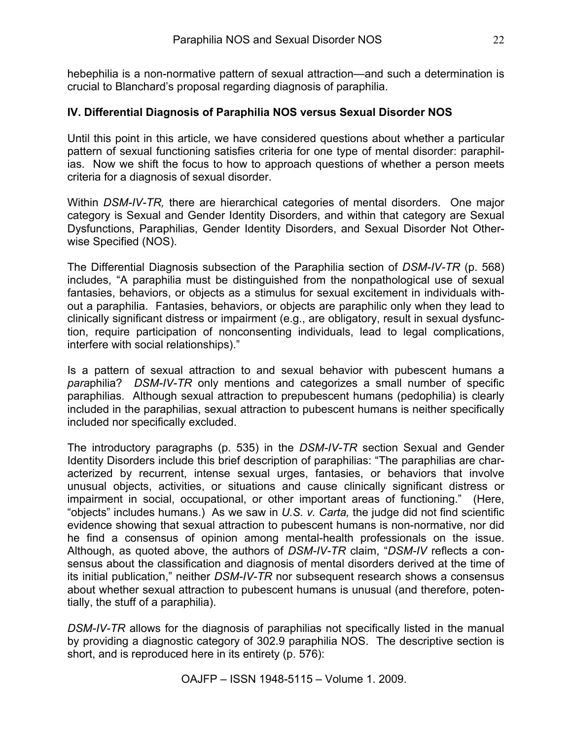hebephilia is a non-normative pattern of sexual attraction—and such a determination is crucial to Blanchard's proposal regarding diagnosis of paraphilia.

#### **IV. Differential Diagnosis of Paraphilia NOS versus Sexual Disorder NOS**

Until this point in this article, we have considered questions about whether a particular pattern of sexual functioning satisfies criteria for one type of mental disorder: paraphilias. Now we shift the focus to how to approach questions of whether a person meets criteria for a diagnosis of sexual disorder.

Within *DSM-IV-TR,* there are hierarchical categories of mental disorders. One major category is Sexual and Gender Identity Disorders, and within that category are Sexual Dysfunctions, Paraphilias, Gender Identity Disorders, and Sexual Disorder Not Otherwise Specified (NOS).

The Differential Diagnosis subsection of the Paraphilia section of *DSM-IV-TR* (p. 568) includes, "A paraphilia must be distinguished from the nonpathological use of sexual fantasies, behaviors, or objects as a stimulus for sexual excitement in individuals without a paraphilia. Fantasies, behaviors, or objects are paraphilic only when they lead to clinically significant distress or impairment (e.g., are obligatory, result in sexual dysfunction, require participation of nonconsenting individuals, lead to legal complications, interfere with social relationships)."

Is a pattern of sexual attraction to and sexual behavior with pubescent humans a *para*philia? *DSM-IV-TR* only mentions and categorizes a small number of specific paraphilias. Although sexual attraction to prepubescent humans (pedophilia) is clearly included in the paraphilias, sexual attraction to pubescent humans is neither specifically included nor specifically excluded.

The introductory paragraphs (p. 535) in the *DSM-IV-TR* section Sexual and Gender Identity Disorders include this brief description of paraphilias: "The paraphilias are characterized by recurrent, intense sexual urges, fantasies, or behaviors that involve unusual objects, activities, or situations and cause clinically significant distress or impairment in social, occupational, or other important areas of functioning." (Here, "objects" includes humans.) As we saw in *U.S. v. Carta,* the judge did not find scientific evidence showing that sexual attraction to pubescent humans is non-normative, nor did he find a consensus of opinion among mental-health professionals on the issue. Although, as quoted above, the authors of *DSM-IV-TR* claim, "*DSM-IV* reflects a consensus about the classification and diagnosis of mental disorders derived at the time of its initial publication," neither *DSM-IV-TR* nor subsequent research shows a consensus about whether sexual attraction to pubescent humans is unusual (and therefore, potentially, the stuff of a paraphilia).

*DSM-IV-TR* allows for the diagnosis of paraphilias not specifically listed in the manual by providing a diagnostic category of 302.9 paraphilia NOS. The descriptive section is short, and is reproduced here in its entirety (p. 576):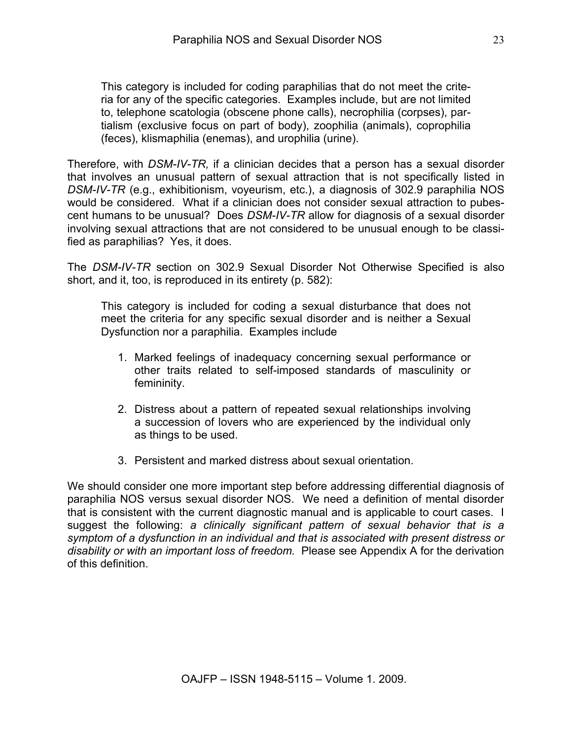This category is included for coding paraphilias that do not meet the criteria for any of the specific categories. Examples include, but are not limited to, telephone scatologia (obscene phone calls), necrophilia (corpses), partialism (exclusive focus on part of body), zoophilia (animals), coprophilia (feces), klismaphilia (enemas), and urophilia (urine).

Therefore, with *DSM-IV-TR,* if a clinician decides that a person has a sexual disorder that involves an unusual pattern of sexual attraction that is not specifically listed in *DSM-IV-TR* (e.g., exhibitionism, voyeurism, etc.), a diagnosis of 302.9 paraphilia NOS would be considered. What if a clinician does not consider sexual attraction to pubescent humans to be unusual? Does *DSM-IV-TR* allow for diagnosis of a sexual disorder involving sexual attractions that are not considered to be unusual enough to be classified as paraphilias? Yes, it does.

The *DSM-IV-TR* section on 302.9 Sexual Disorder Not Otherwise Specified is also short, and it, too, is reproduced in its entirety (p. 582):

This category is included for coding a sexual disturbance that does not meet the criteria for any specific sexual disorder and is neither a Sexual Dysfunction nor a paraphilia. Examples include

- 1. Marked feelings of inadequacy concerning sexual performance or other traits related to self-imposed standards of masculinity or femininity.
- 2. Distress about a pattern of repeated sexual relationships involving a succession of lovers who are experienced by the individual only as things to be used.
- 3. Persistent and marked distress about sexual orientation.

We should consider one more important step before addressing differential diagnosis of paraphilia NOS versus sexual disorder NOS. We need a definition of mental disorder that is consistent with the current diagnostic manual and is applicable to court cases. I suggest the following: *a clinically significant pattern of sexual behavior that is a symptom of a dysfunction in an individual and that is associated with present distress or disability or with an important loss of freedom.* Please see Appendix A for the derivation of this definition.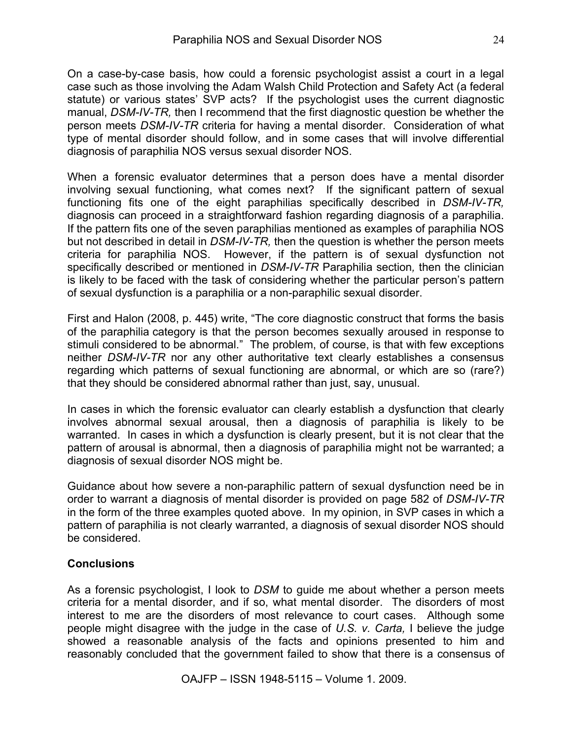On a case-by-case basis, how could a forensic psychologist assist a court in a legal case such as those involving the Adam Walsh Child Protection and Safety Act (a federal statute) or various states' SVP acts? If the psychologist uses the current diagnostic manual, *DSM-IV-TR,* then I recommend that the first diagnostic question be whether the person meets *DSM-IV-TR* criteria for having a mental disorder. Consideration of what type of mental disorder should follow, and in some cases that will involve differential diagnosis of paraphilia NOS versus sexual disorder NOS.

When a forensic evaluator determines that a person does have a mental disorder involving sexual functioning, what comes next? If the significant pattern of sexual functioning fits one of the eight paraphilias specifically described in *DSM-IV-TR,* diagnosis can proceed in a straightforward fashion regarding diagnosis of a paraphilia. If the pattern fits one of the seven paraphilias mentioned as examples of paraphilia NOS but not described in detail in *DSM-IV-TR,* then the question is whether the person meets criteria for paraphilia NOS. However, if the pattern is of sexual dysfunction not specifically described or mentioned in *DSM-IV-TR* Paraphilia section*,* then the clinician is likely to be faced with the task of considering whether the particular person's pattern of sexual dysfunction is a paraphilia or a non-paraphilic sexual disorder.

First and Halon (2008, p. 445) write, "The core diagnostic construct that forms the basis of the paraphilia category is that the person becomes sexually aroused in response to stimuli considered to be abnormal." The problem, of course, is that with few exceptions neither *DSM-IV-TR* nor any other authoritative text clearly establishes a consensus regarding which patterns of sexual functioning are abnormal, or which are so (rare?) that they should be considered abnormal rather than just, say, unusual.

In cases in which the forensic evaluator can clearly establish a dysfunction that clearly involves abnormal sexual arousal, then a diagnosis of paraphilia is likely to be warranted. In cases in which a dysfunction is clearly present, but it is not clear that the pattern of arousal is abnormal, then a diagnosis of paraphilia might not be warranted; a diagnosis of sexual disorder NOS might be.

Guidance about how severe a non-paraphilic pattern of sexual dysfunction need be in order to warrant a diagnosis of mental disorder is provided on page 582 of *DSM-IV-TR* in the form of the three examples quoted above. In my opinion, in SVP cases in which a pattern of paraphilia is not clearly warranted, a diagnosis of sexual disorder NOS should be considered.

#### **Conclusions**

As a forensic psychologist, I look to *DSM* to guide me about whether a person meets criteria for a mental disorder, and if so, what mental disorder. The disorders of most interest to me are the disorders of most relevance to court cases. Although some people might disagree with the judge in the case of *U.S. v. Carta,* I believe the judge showed a reasonable analysis of the facts and opinions presented to him and reasonably concluded that the government failed to show that there is a consensus of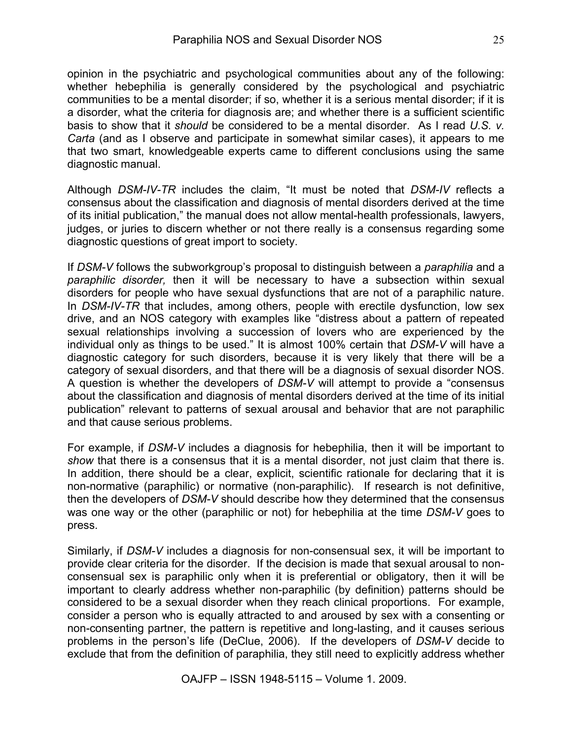opinion in the psychiatric and psychological communities about any of the following: whether hebephilia is generally considered by the psychological and psychiatric communities to be a mental disorder; if so, whether it is a serious mental disorder; if it is a disorder, what the criteria for diagnosis are; and whether there is a sufficient scientific basis to show that it *should* be considered to be a mental disorder. As I read *U.S. v. Carta* (and as I observe and participate in somewhat similar cases), it appears to me that two smart, knowledgeable experts came to different conclusions using the same diagnostic manual.

Although *DSM-IV-TR* includes the claim, "It must be noted that *DSM-IV* reflects a consensus about the classification and diagnosis of mental disorders derived at the time of its initial publication," the manual does not allow mental-health professionals, lawyers, judges, or juries to discern whether or not there really is a consensus regarding some diagnostic questions of great import to society.

If *DSM-V* follows the subworkgroup's proposal to distinguish between a *paraphilia* and a *paraphilic disorder,* then it will be necessary to have a subsection within sexual disorders for people who have sexual dysfunctions that are not of a paraphilic nature. In *DSM-IV-TR* that includes, among others, people with erectile dysfunction, low sex drive, and an NOS category with examples like "distress about a pattern of repeated sexual relationships involving a succession of lovers who are experienced by the individual only as things to be used." It is almost 100% certain that *DSM-V* will have a diagnostic category for such disorders, because it is very likely that there will be a category of sexual disorders, and that there will be a diagnosis of sexual disorder NOS. A question is whether the developers of *DSM-V* will attempt to provide a "consensus about the classification and diagnosis of mental disorders derived at the time of its initial publication" relevant to patterns of sexual arousal and behavior that are not paraphilic and that cause serious problems.

For example, if *DSM-V* includes a diagnosis for hebephilia, then it will be important to *show* that there is a consensus that it is a mental disorder, not just claim that there is. In addition, there should be a clear, explicit, scientific rationale for declaring that it is non-normative (paraphilic) or normative (non-paraphilic). If research is not definitive, then the developers of *DSM-V* should describe how they determined that the consensus was one way or the other (paraphilic or not) for hebephilia at the time *DSM-V* goes to press.

Similarly, if *DSM-V* includes a diagnosis for non-consensual sex, it will be important to provide clear criteria for the disorder. If the decision is made that sexual arousal to nonconsensual sex is paraphilic only when it is preferential or obligatory, then it will be important to clearly address whether non-paraphilic (by definition) patterns should be considered to be a sexual disorder when they reach clinical proportions. For example, consider a person who is equally attracted to and aroused by sex with a consenting or non-consenting partner, the pattern is repetitive and long-lasting, and it causes serious problems in the person's life (DeClue, 2006). If the developers of *DSM-V* decide to exclude that from the definition of paraphilia, they still need to explicitly address whether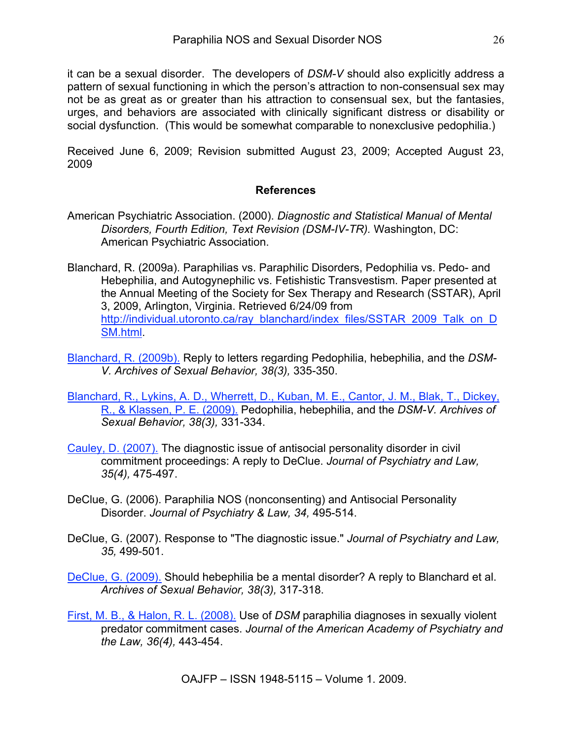it can be a sexual disorder. The developers of *DSM-V* should also explicitly address a pattern of sexual functioning in which the person's attraction to non-consensual sex may not be as great as or greater than his attraction to consensual sex, but the fantasies, urges, and behaviors are associated with clinically significant distress or disability or social dysfunction. (This would be somewhat comparable to nonexclusive pedophilia.)

Received June 6, 2009; Revision submitted August 23, 2009; Accepted August 23, 2009

#### **References**

- American Psychiatric Association. (2000). *Diagnostic and Statistical Manual of Mental Disorders, Fourth Edition, Text Revision (DSM-IV-TR).* Washington, DC: American Psychiatric Association.
- Blanchard, R. (2009a). Paraphilias vs. Paraphilic Disorders, Pedophilia vs. Pedo- and Hebephilia, and Autogynephilic vs. Fetishistic Transvestism. Paper presented at the Annual Meeting of the Society for Sex Therapy and Research (SSTAR), April 3, 2009, Arlington, Virginia. Retrieved 6/24/09 from http://individual.utoronto.ca/ray\_blanchard/index\_files/SSTAR\_2009\_Talk\_on\_D SM.html.
- Blanchard, R. (2009b). Reply to letters regarding Pedophilia, hebephilia, and the *DSM-V. Archives of Sexual Behavior, 38(3),* 335-350.
- Blanchard, R., Lykins, A. D., Wherrett, D., Kuban, M. E., Cantor, J. M., Blak, T., Dickey, R., & Klassen, P. E. (2009). Pedophilia, hebephilia, and the *DSM-V. Archives of Sexual Behavior, 38(3),* 331-334.
- Cauley, D. (2007). The diagnostic issue of antisocial personality disorder in civil commitment proceedings: A reply to DeClue. *Journal of Psychiatry and Law, 35(4),* 475-497.
- DeClue, G. (2006). Paraphilia NOS (nonconsenting) and Antisocial Personality Disorder. *Journal of Psychiatry & Law, 34,* 495-514.
- DeClue, G. (2007). Response to "The diagnostic issue." *Journal of Psychiatry and Law, 35,* 499-501.

DeClue, G. (2009). Should hebephilia be a mental disorder? A reply to Blanchard et al. *Archives of Sexual Behavior, 38(3),* 317-318.

First, M. B., & Halon, R. L. (2008). Use of *DSM* paraphilia diagnoses in sexually violent predator commitment cases. *Journal of the American Academy of Psychiatry and the Law, 36(4),* 443-454.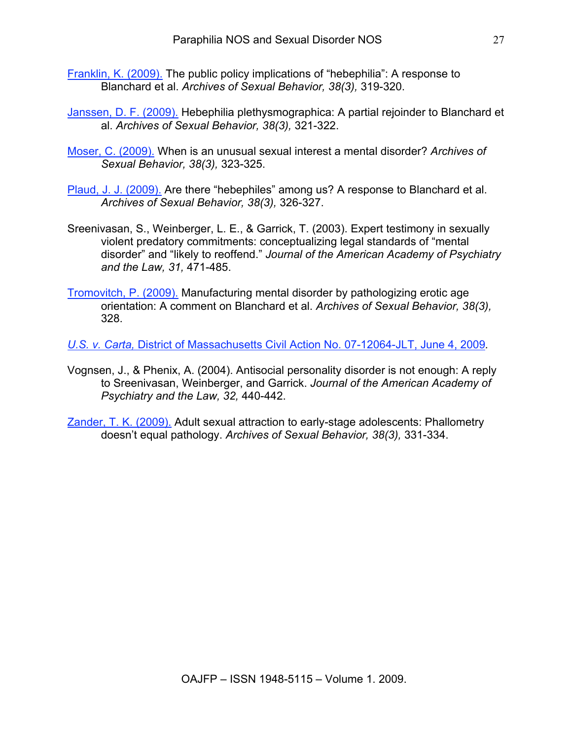- Franklin, K. (2009). The public policy implications of "hebephilia": A response to Blanchard et al. *Archives of Sexual Behavior, 38(3),* 319-320.
- Janssen, D. F. (2009). Hebephilia plethysmographica: A partial rejoinder to Blanchard et al. *Archives of Sexual Behavior, 38(3),* 321-322.
- Moser, C. (2009). When is an unusual sexual interest a mental disorder? *Archives of Sexual Behavior, 38(3),* 323-325.
- Plaud, J. J. (2009). Are there "hebephiles" among us? A response to Blanchard et al. *Archives of Sexual Behavior, 38(3),* 326-327.
- Sreenivasan, S., Weinberger, L. E., & Garrick, T. (2003). Expert testimony in sexually violent predatory commitments: conceptualizing legal standards of "mental disorder" and "likely to reoffend." *Journal of the American Academy of Psychiatry and the Law, 31,* 471-485.
- Tromovitch, P. (2009). Manufacturing mental disorder by pathologizing erotic age orientation: A comment on Blanchard et al. *Archives of Sexual Behavior, 38(3),* 328.

*U.S. v. Carta,* District of Massachusetts Civil Action No. 07-12064-JLT, June 4, 2009*.*

- Vognsen, J., & Phenix, A. (2004). Antisocial personality disorder is not enough: A reply to Sreenivasan, Weinberger, and Garrick. *Journal of the American Academy of Psychiatry and the Law, 32,* 440-442.
- Zander, T. K. (2009). Adult sexual attraction to early-stage adolescents: Phallometry doesn't equal pathology. *Archives of Sexual Behavior, 38(3),* 331-334.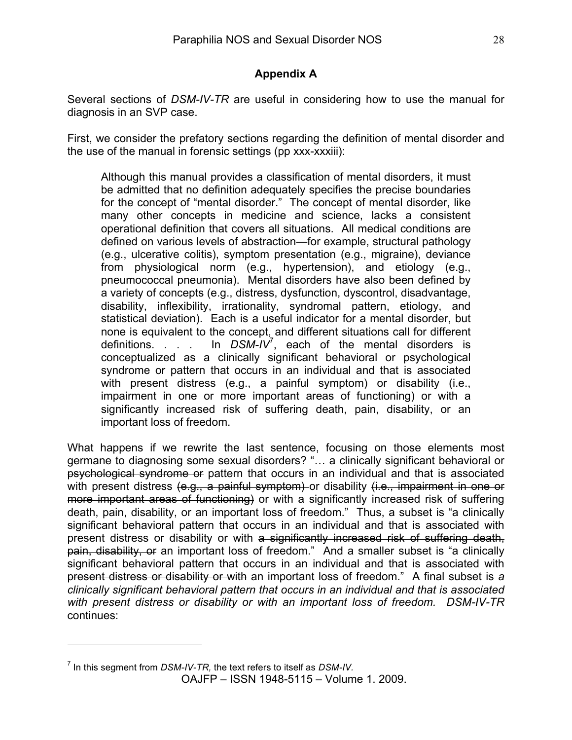### **Appendix A**

Several sections of *DSM-IV-TR* are useful in considering how to use the manual for diagnosis in an SVP case.

First, we consider the prefatory sections regarding the definition of mental disorder and the use of the manual in forensic settings (pp xxx-xxxiii):

Although this manual provides a classification of mental disorders, it must be admitted that no definition adequately specifies the precise boundaries for the concept of "mental disorder." The concept of mental disorder, like many other concepts in medicine and science, lacks a consistent operational definition that covers all situations. All medical conditions are defined on various levels of abstraction—for example, structural pathology (e.g., ulcerative colitis), symptom presentation (e.g., migraine), deviance from physiological norm (e.g., hypertension), and etiology (e.g., pneumococcal pneumonia). Mental disorders have also been defined by a variety of concepts (e.g., distress, dysfunction, dyscontrol, disadvantage, disability, inflexibility, irrationality, syndromal pattern, etiology, and statistical deviation). Each is a useful indicator for a mental disorder, but none is equivalent to the concept, and different situations call for different definitions. . . . In  $DSM-IV^7$ , each of the mental disorders is conceptualized as a clinically significant behavioral or psychological syndrome or pattern that occurs in an individual and that is associated with present distress (e.g., a painful symptom) or disability (i.e., impairment in one or more important areas of functioning) or with a significantly increased risk of suffering death, pain, disability, or an important loss of freedom.

What happens if we rewrite the last sentence, focusing on those elements most germane to diagnosing some sexual disorders? "… a clinically significant behavioral or psychological syndrome or pattern that occurs in an individual and that is associated with present distress (e.g., a painful symptom) or disability (i.e., impairment in one or more important areas of functioning) or with a significantly increased risk of suffering death, pain, disability, or an important loss of freedom." Thus, a subset is "a clinically significant behavioral pattern that occurs in an individual and that is associated with present distress or disability or with a significantly increased risk of suffering death, pain, disability, or an important loss of freedom." And a smaller subset is "a clinically significant behavioral pattern that occurs in an individual and that is associated with present distress or disability or with an important loss of freedom." A final subset is *a clinically significant behavioral pattern that occurs in an individual and that is associated with present distress or disability or with an important loss of freedom. DSM-IV-TR* continues:

 $\overline{a}$ 

<sup>7</sup> In this segment from *DSM-IV-TR,* the text refers to itself as *DSM-IV.*